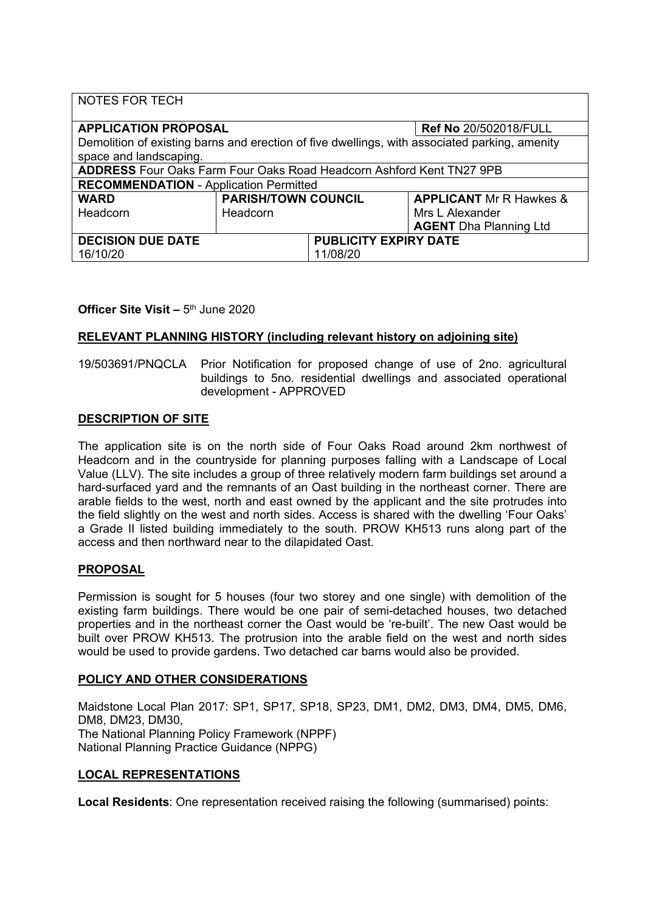| <b>NOTES FOR TECH</b>                                                                         |                            |                              |                                |
|-----------------------------------------------------------------------------------------------|----------------------------|------------------------------|--------------------------------|
| <b>APPLICATION PROPOSAL</b>                                                                   |                            |                              | <b>Ref No 20/502018/FULL</b>   |
| Demolition of existing barns and erection of five dwellings, with associated parking, amenity |                            |                              |                                |
| space and landscaping.                                                                        |                            |                              |                                |
| <b>ADDRESS</b> Four Oaks Farm Four Oaks Road Headcorn Ashford Kent TN27 9PB                   |                            |                              |                                |
| <b>RECOMMENDATION - Application Permitted</b>                                                 |                            |                              |                                |
| <b>WARD</b>                                                                                   | <b>PARISH/TOWN COUNCIL</b> |                              | <b>APPLICANT</b> Mr R Hawkes & |
| Headcorn                                                                                      | Headcorn                   |                              | Mrs L Alexander                |
|                                                                                               |                            |                              | <b>AGENT</b> Dha Planning Ltd  |
| <b>DECISION DUE DATE</b>                                                                      |                            | <b>PUBLICITY EXPIRY DATE</b> |                                |
| 16/10/20                                                                                      |                            | 11/08/20                     |                                |

# **Officer Site Visit –** 5 th June 2020

## **RELEVANT PLANNING HISTORY (including relevant history on adjoining site)**

19/503691/PNQCLA Prior Notification for proposed change of use of 2no. agricultural buildings to 5no. residential dwellings and associated operational development - APPROVED

## **DESCRIPTION OF SITE**

The application site is on the north side of Four Oaks Road around 2km northwest of Headcorn and in the countryside for planning purposes falling with a Landscape of Local Value (LLV). The site includes a group of three relatively modern farm buildings set around a hard-surfaced yard and the remnants of an Oast building in the northeast corner. There are arable fields to the west, north and east owned by the applicant and the site protrudes into the field slightly on the west and north sides. Access is shared with the dwelling 'Four Oaks' a Grade II listed building immediately to the south. PROW KH513 runs along part of the access and then northward near to the dilapidated Oast.

#### **PROPOSAL**

Permission is sought for 5 houses (four two storey and one single) with demolition of the existing farm buildings. There would be one pair of semi-detached houses, two detached properties and in the northeast corner the Oast would be 're-built'. The new Oast would be built over PROW KH513. The protrusion into the arable field on the west and north sides would be used to provide gardens. Two detached car barns would also be provided.

## **POLICY AND OTHER CONSIDERATIONS**

Maidstone Local Plan 2017: SP1, SP17, SP18, SP23, DM1, DM2, DM3, DM4, DM5, DM6, DM8, DM23, DM30, The National Planning Policy Framework (NPPF) National Planning Practice Guidance (NPPG)

## **LOCAL REPRESENTATIONS**

**Local Residents**: One representation received raising the following (summarised) points: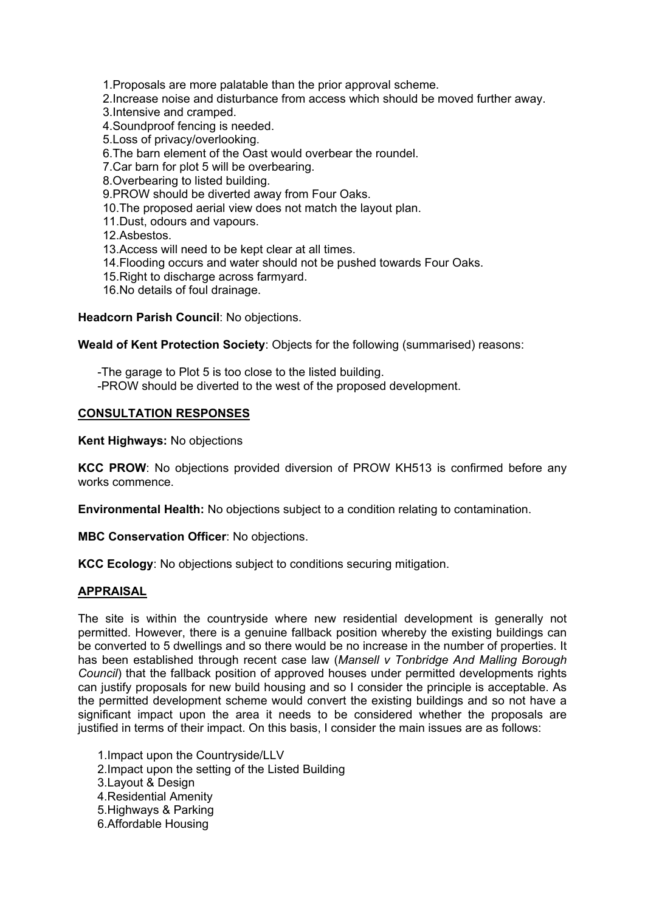1.Proposals are more palatable than the prior approval scheme.

- 2.Increase noise and disturbance from access which should be moved further away.
- 3.Intensive and cramped.
- 4.Soundproof fencing is needed.
- 5.Loss of privacy/overlooking.
- 6.The barn element of the Oast would overbear the roundel.
- 7.Car barn for plot 5 will be overbearing.
- 8.Overbearing to listed building.
- 9.PROW should be diverted away from Four Oaks.
- 10.The proposed aerial view does not match the layout plan.
- 11.Dust, odours and vapours.
- 12.Asbestos.
- 13.Access will need to be kept clear at all times.
- 14.Flooding occurs and water should not be pushed towards Four Oaks.
- 15.Right to discharge across farmyard.
- 16.No details of foul drainage.

## **Headcorn Parish Council**: No objections.

## **Weald of Kent Protection Society**: Objects for the following (summarised) reasons:

-The garage to Plot 5 is too close to the listed building. -PROW should be diverted to the west of the proposed development.

## **CONSULTATION RESPONSES**

## **Kent Highways:** No objections

**KCC PROW**: No objections provided diversion of PROW KH513 is confirmed before any works commence.

**Environmental Health:** No objections subject to a condition relating to contamination.

**MBC Conservation Officer**: No objections.

**KCC Ecology**: No objections subject to conditions securing mitigation.

## **APPRAISAL**

The site is within the countryside where new residential development is generally not permitted. However, there is a genuine fallback position whereby the existing buildings can be converted to 5 dwellings and so there would be no increase in the number of properties. It has been established through recent case law (*Mansell v Tonbridge And Malling Borough Council*) that the fallback position of approved houses under permitted developments rights can justify proposals for new build housing and so I consider the principle is acceptable. As the permitted development scheme would convert the existing buildings and so not have a significant impact upon the area it needs to be considered whether the proposals are justified in terms of their impact. On this basis, I consider the main issues are as follows:

1.Impact upon the Countryside/LLV 2.Impact upon the setting of the Listed Building 3.Layout & Design 4.Residential Amenity 5.Highways & Parking 6.Affordable Housing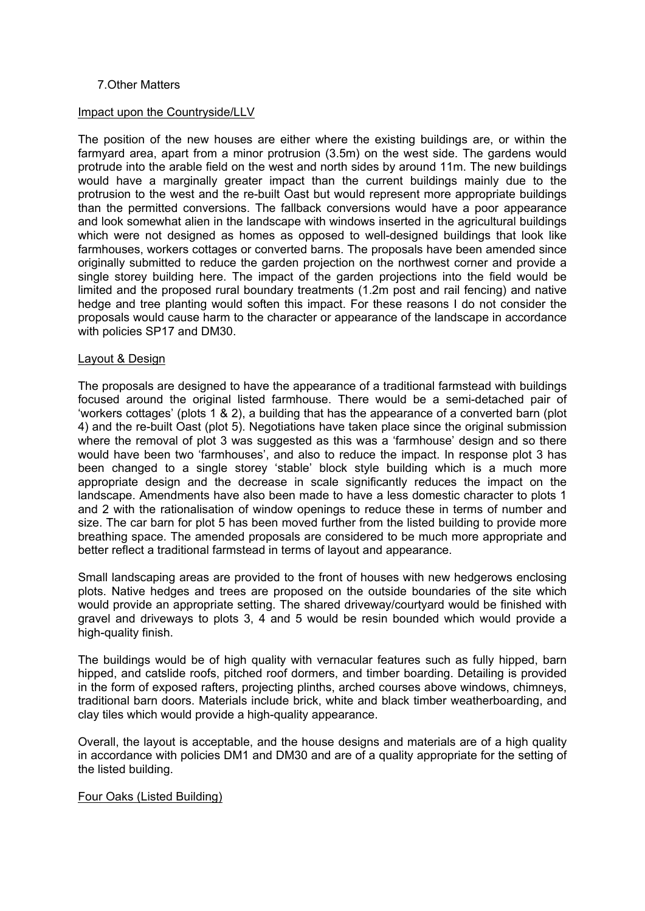## 7.Other Matters

#### Impact upon the Countryside/LLV

The position of the new houses are either where the existing buildings are, or within the farmyard area, apart from a minor protrusion (3.5m) on the west side. The gardens would protrude into the arable field on the west and north sides by around 11m. The new buildings would have a marginally greater impact than the current buildings mainly due to the protrusion to the west and the re-built Oast but would represent more appropriate buildings than the permitted conversions. The fallback conversions would have a poor appearance and look somewhat alien in the landscape with windows inserted in the agricultural buildings which were not designed as homes as opposed to well-designed buildings that look like farmhouses, workers cottages or converted barns. The proposals have been amended since originally submitted to reduce the garden projection on the northwest corner and provide a single storey building here. The impact of the garden projections into the field would be limited and the proposed rural boundary treatments (1.2m post and rail fencing) and native hedge and tree planting would soften this impact. For these reasons I do not consider the proposals would cause harm to the character or appearance of the landscape in accordance with policies SP17 and DM30.

#### Layout & Design

The proposals are designed to have the appearance of a traditional farmstead with buildings focused around the original listed farmhouse. There would be a semi-detached pair of 'workers cottages' (plots 1 & 2), a building that has the appearance of a converted barn (plot 4) and the re-built Oast (plot 5). Negotiations have taken place since the original submission where the removal of plot 3 was suggested as this was a 'farmhouse' design and so there would have been two 'farmhouses', and also to reduce the impact. In response plot 3 has been changed to a single storey 'stable' block style building which is a much more appropriate design and the decrease in scale significantly reduces the impact on the landscape. Amendments have also been made to have a less domestic character to plots 1 and 2 with the rationalisation of window openings to reduce these in terms of number and size. The car barn for plot 5 has been moved further from the listed building to provide more breathing space. The amended proposals are considered to be much more appropriate and better reflect a traditional farmstead in terms of layout and appearance.

Small landscaping areas are provided to the front of houses with new hedgerows enclosing plots. Native hedges and trees are proposed on the outside boundaries of the site which would provide an appropriate setting. The shared driveway/courtyard would be finished with gravel and driveways to plots 3, 4 and 5 would be resin bounded which would provide a high-quality finish.

The buildings would be of high quality with vernacular features such as fully hipped, barn hipped, and catslide roofs, pitched roof dormers, and timber boarding. Detailing is provided in the form of exposed rafters, projecting plinths, arched courses above windows, chimneys, traditional barn doors. Materials include brick, white and black timber weatherboarding, and clay tiles which would provide a high-quality appearance.

Overall, the layout is acceptable, and the house designs and materials are of a high quality in accordance with policies DM1 and DM30 and are of a quality appropriate for the setting of the listed building.

#### Four Oaks (Listed Building)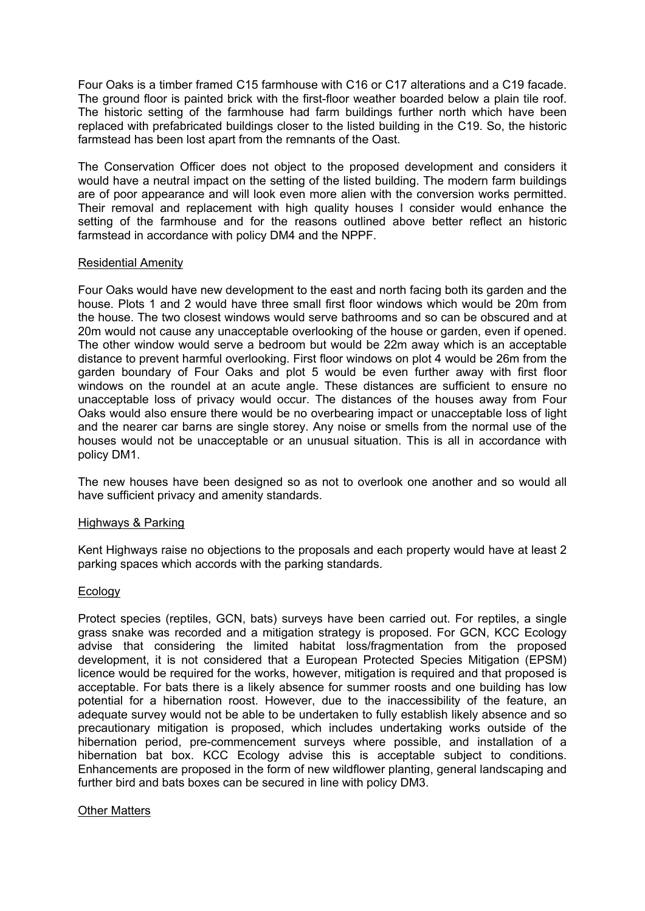Four Oaks is a timber framed C15 farmhouse with C16 or C17 alterations and a C19 facade. The ground floor is painted brick with the first-floor weather boarded below a plain tile roof. The historic setting of the farmhouse had farm buildings further north which have been replaced with prefabricated buildings closer to the listed building in the C19. So, the historic farmstead has been lost apart from the remnants of the Oast.

The Conservation Officer does not object to the proposed development and considers it would have a neutral impact on the setting of the listed building. The modern farm buildings are of poor appearance and will look even more alien with the conversion works permitted. Their removal and replacement with high quality houses I consider would enhance the setting of the farmhouse and for the reasons outlined above better reflect an historic farmstead in accordance with policy DM4 and the NPPF.

## Residential Amenity

Four Oaks would have new development to the east and north facing both its garden and the house. Plots 1 and 2 would have three small first floor windows which would be 20m from the house. The two closest windows would serve bathrooms and so can be obscured and at 20m would not cause any unacceptable overlooking of the house or garden, even if opened. The other window would serve a bedroom but would be 22m away which is an acceptable distance to prevent harmful overlooking. First floor windows on plot 4 would be 26m from the garden boundary of Four Oaks and plot 5 would be even further away with first floor windows on the roundel at an acute angle. These distances are sufficient to ensure no unacceptable loss of privacy would occur. The distances of the houses away from Four Oaks would also ensure there would be no overbearing impact or unacceptable loss of light and the nearer car barns are single storey. Any noise or smells from the normal use of the houses would not be unacceptable or an unusual situation. This is all in accordance with policy DM1.

The new houses have been designed so as not to overlook one another and so would all have sufficient privacy and amenity standards.

#### Highways & Parking

Kent Highways raise no objections to the proposals and each property would have at least 2 parking spaces which accords with the parking standards.

#### Ecology

Protect species (reptiles, GCN, bats) surveys have been carried out. For reptiles, a single grass snake was recorded and a mitigation strategy is proposed. For GCN, KCC Ecology advise that considering the limited habitat loss/fragmentation from the proposed development, it is not considered that a European Protected Species Mitigation (EPSM) licence would be required for the works, however, mitigation is required and that proposed is acceptable. For bats there is a likely absence for summer roosts and one building has low potential for a hibernation roost. However, due to the inaccessibility of the feature, an adequate survey would not be able to be undertaken to fully establish likely absence and so precautionary mitigation is proposed, which includes undertaking works outside of the hibernation period, pre-commencement surveys where possible, and installation of a hibernation bat box. KCC Ecology advise this is acceptable subject to conditions. Enhancements are proposed in the form of new wildflower planting, general landscaping and further bird and bats boxes can be secured in line with policy DM3.

#### Other Matters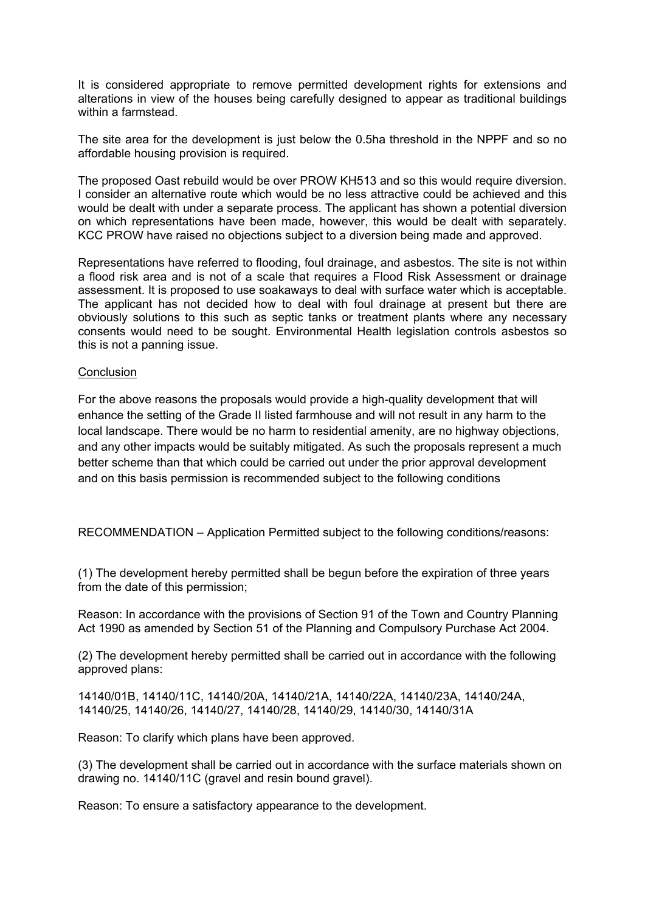It is considered appropriate to remove permitted development rights for extensions and alterations in view of the houses being carefully designed to appear as traditional buildings within a farmstead.

The site area for the development is just below the 0.5ha threshold in the NPPF and so no affordable housing provision is required.

The proposed Oast rebuild would be over PROW KH513 and so this would require diversion. I consider an alternative route which would be no less attractive could be achieved and this would be dealt with under a separate process. The applicant has shown a potential diversion on which representations have been made, however, this would be dealt with separately. KCC PROW have raised no objections subject to a diversion being made and approved.

Representations have referred to flooding, foul drainage, and asbestos. The site is not within a flood risk area and is not of a scale that requires a Flood Risk Assessment or drainage assessment. It is proposed to use soakaways to deal with surface water which is acceptable. The applicant has not decided how to deal with foul drainage at present but there are obviously solutions to this such as septic tanks or treatment plants where any necessary consents would need to be sought. Environmental Health legislation controls asbestos so this is not a panning issue.

## **Conclusion**

For the above reasons the proposals would provide a high-quality development that will enhance the setting of the Grade II listed farmhouse and will not result in any harm to the local landscape. There would be no harm to residential amenity, are no highway objections, and any other impacts would be suitably mitigated. As such the proposals represent a much better scheme than that which could be carried out under the prior approval development and on this basis permission is recommended subject to the following conditions

RECOMMENDATION – Application Permitted subject to the following conditions/reasons:

(1) The development hereby permitted shall be begun before the expiration of three years from the date of this permission;

Reason: In accordance with the provisions of Section 91 of the Town and Country Planning Act 1990 as amended by Section 51 of the Planning and Compulsory Purchase Act 2004.

(2) The development hereby permitted shall be carried out in accordance with the following approved plans:

14140/01B, 14140/11C, 14140/20A, 14140/21A, 14140/22A, 14140/23A, 14140/24A, 14140/25, 14140/26, 14140/27, 14140/28, 14140/29, 14140/30, 14140/31A

Reason: To clarify which plans have been approved.

(3) The development shall be carried out in accordance with the surface materials shown on drawing no. 14140/11C (gravel and resin bound gravel).

Reason: To ensure a satisfactory appearance to the development.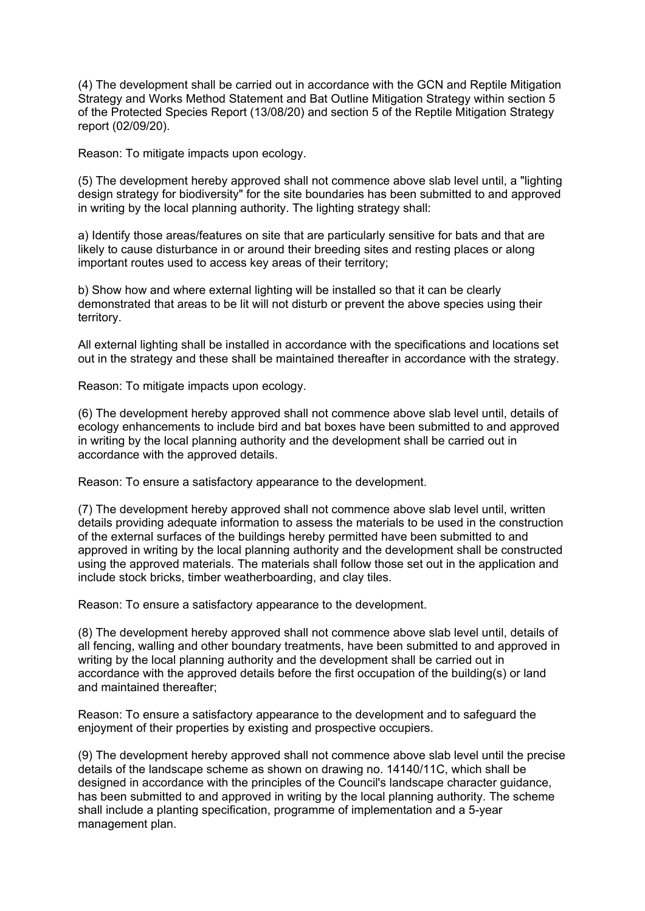(4) The development shall be carried out in accordance with the GCN and Reptile Mitigation Strategy and Works Method Statement and Bat Outline Mitigation Strategy within section 5 of the Protected Species Report (13/08/20) and section 5 of the Reptile Mitigation Strategy report (02/09/20).

Reason: To mitigate impacts upon ecology.

(5) The development hereby approved shall not commence above slab level until, a "lighting design strategy for biodiversity" for the site boundaries has been submitted to and approved in writing by the local planning authority. The lighting strategy shall:

a) Identify those areas/features on site that are particularly sensitive for bats and that are likely to cause disturbance in or around their breeding sites and resting places or along important routes used to access key areas of their territory;

b) Show how and where external lighting will be installed so that it can be clearly demonstrated that areas to be lit will not disturb or prevent the above species using their territory.

All external lighting shall be installed in accordance with the specifications and locations set out in the strategy and these shall be maintained thereafter in accordance with the strategy.

Reason: To mitigate impacts upon ecology.

(6) The development hereby approved shall not commence above slab level until, details of ecology enhancements to include bird and bat boxes have been submitted to and approved in writing by the local planning authority and the development shall be carried out in accordance with the approved details.

Reason: To ensure a satisfactory appearance to the development.

(7) The development hereby approved shall not commence above slab level until, written details providing adequate information to assess the materials to be used in the construction of the external surfaces of the buildings hereby permitted have been submitted to and approved in writing by the local planning authority and the development shall be constructed using the approved materials. The materials shall follow those set out in the application and include stock bricks, timber weatherboarding, and clay tiles.

Reason: To ensure a satisfactory appearance to the development.

(8) The development hereby approved shall not commence above slab level until, details of all fencing, walling and other boundary treatments, have been submitted to and approved in writing by the local planning authority and the development shall be carried out in accordance with the approved details before the first occupation of the building(s) or land and maintained thereafter;

Reason: To ensure a satisfactory appearance to the development and to safeguard the enjoyment of their properties by existing and prospective occupiers.

(9) The development hereby approved shall not commence above slab level until the precise details of the landscape scheme as shown on drawing no. 14140/11C, which shall be designed in accordance with the principles of the Council's landscape character guidance, has been submitted to and approved in writing by the local planning authority. The scheme shall include a planting specification, programme of implementation and a 5-year management plan.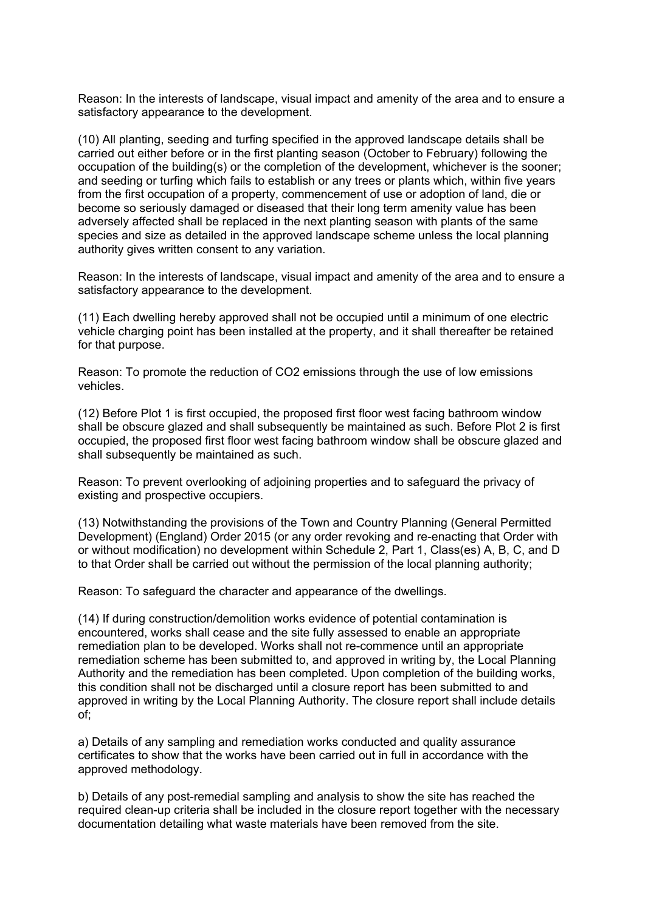Reason: In the interests of landscape, visual impact and amenity of the area and to ensure a satisfactory appearance to the development.

(10) All planting, seeding and turfing specified in the approved landscape details shall be carried out either before or in the first planting season (October to February) following the occupation of the building(s) or the completion of the development, whichever is the sooner; and seeding or turfing which fails to establish or any trees or plants which, within five years from the first occupation of a property, commencement of use or adoption of land, die or become so seriously damaged or diseased that their long term amenity value has been adversely affected shall be replaced in the next planting season with plants of the same species and size as detailed in the approved landscape scheme unless the local planning authority gives written consent to any variation.

Reason: In the interests of landscape, visual impact and amenity of the area and to ensure a satisfactory appearance to the development.

(11) Each dwelling hereby approved shall not be occupied until a minimum of one electric vehicle charging point has been installed at the property, and it shall thereafter be retained for that purpose.

Reason: To promote the reduction of CO2 emissions through the use of low emissions vehicles.

(12) Before Plot 1 is first occupied, the proposed first floor west facing bathroom window shall be obscure glazed and shall subsequently be maintained as such. Before Plot 2 is first occupied, the proposed first floor west facing bathroom window shall be obscure glazed and shall subsequently be maintained as such.

Reason: To prevent overlooking of adjoining properties and to safeguard the privacy of existing and prospective occupiers.

(13) Notwithstanding the provisions of the Town and Country Planning (General Permitted Development) (England) Order 2015 (or any order revoking and re-enacting that Order with or without modification) no development within Schedule 2, Part 1, Class(es) A, B, C, and D to that Order shall be carried out without the permission of the local planning authority;

Reason: To safeguard the character and appearance of the dwellings.

(14) If during construction/demolition works evidence of potential contamination is encountered, works shall cease and the site fully assessed to enable an appropriate remediation plan to be developed. Works shall not re-commence until an appropriate remediation scheme has been submitted to, and approved in writing by, the Local Planning Authority and the remediation has been completed. Upon completion of the building works, this condition shall not be discharged until a closure report has been submitted to and approved in writing by the Local Planning Authority. The closure report shall include details of;

a) Details of any sampling and remediation works conducted and quality assurance certificates to show that the works have been carried out in full in accordance with the approved methodology.

b) Details of any post-remedial sampling and analysis to show the site has reached the required clean-up criteria shall be included in the closure report together with the necessary documentation detailing what waste materials have been removed from the site.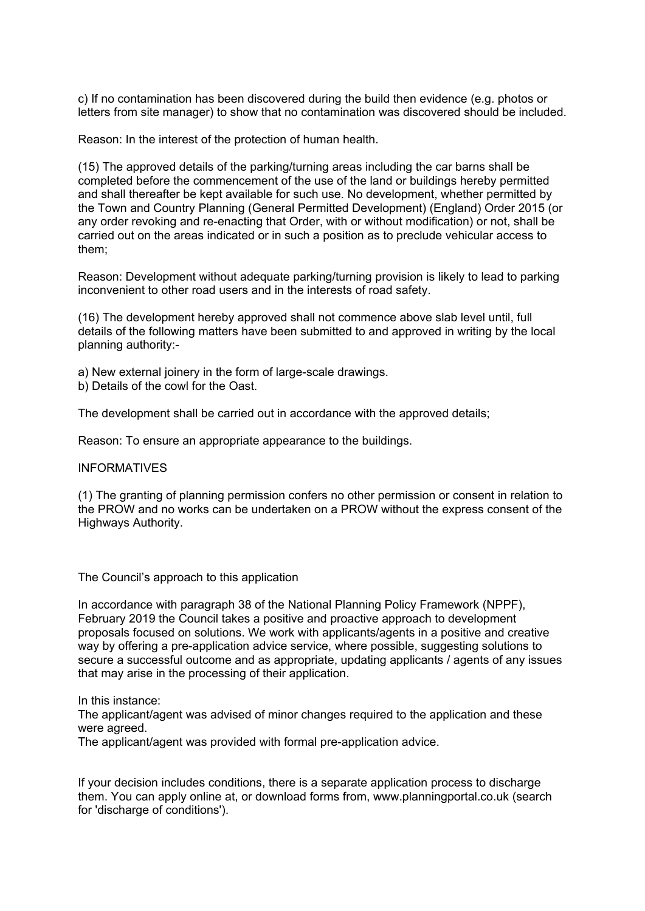c) If no contamination has been discovered during the build then evidence (e.g. photos or letters from site manager) to show that no contamination was discovered should be included.

Reason: In the interest of the protection of human health.

(15) The approved details of the parking/turning areas including the car barns shall be completed before the commencement of the use of the land or buildings hereby permitted and shall thereafter be kept available for such use. No development, whether permitted by the Town and Country Planning (General Permitted Development) (England) Order 2015 (or any order revoking and re-enacting that Order, with or without modification) or not, shall be carried out on the areas indicated or in such a position as to preclude vehicular access to them;

Reason: Development without adequate parking/turning provision is likely to lead to parking inconvenient to other road users and in the interests of road safety.

(16) The development hereby approved shall not commence above slab level until, full details of the following matters have been submitted to and approved in writing by the local planning authority:-

a) New external joinery in the form of large-scale drawings.

b) Details of the cowl for the Oast.

The development shall be carried out in accordance with the approved details;

Reason: To ensure an appropriate appearance to the buildings.

#### INFORMATIVES

(1) The granting of planning permission confers no other permission or consent in relation to the PROW and no works can be undertaken on a PROW without the express consent of the Highways Authority.

The Council's approach to this application

In accordance with paragraph 38 of the National Planning Policy Framework (NPPF), February 2019 the Council takes a positive and proactive approach to development proposals focused on solutions. We work with applicants/agents in a positive and creative way by offering a pre-application advice service, where possible, suggesting solutions to secure a successful outcome and as appropriate, updating applicants / agents of any issues that may arise in the processing of their application.

In this instance:

The applicant/agent was advised of minor changes required to the application and these were agreed.

The applicant/agent was provided with formal pre-application advice.

If your decision includes conditions, there is a separate application process to discharge them. You can apply online at, or download forms from, www.planningportal.co.uk (search for 'discharge of conditions').